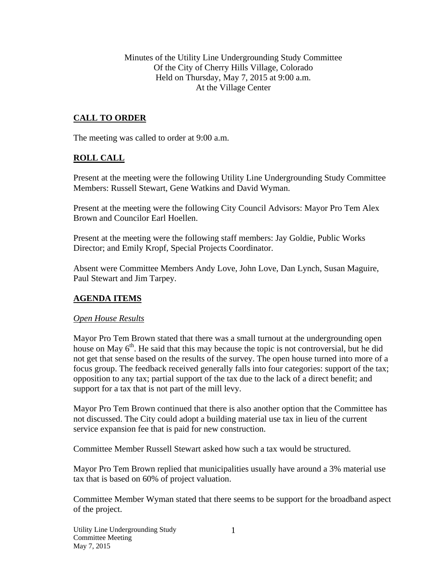Minutes of the Utility Line Undergrounding Study Committee Of the City of Cherry Hills Village, Colorado Held on Thursday, May 7, 2015 at 9:00 a.m. At the Village Center

# **CALL TO ORDER**

The meeting was called to order at 9:00 a.m.

## **ROLL CALL**

Present at the meeting were the following Utility Line Undergrounding Study Committee Members: Russell Stewart, Gene Watkins and David Wyman.

Present at the meeting were the following City Council Advisors: Mayor Pro Tem Alex Brown and Councilor Earl Hoellen.

Present at the meeting were the following staff members: Jay Goldie, Public Works Director; and Emily Kropf, Special Projects Coordinator.

Absent were Committee Members Andy Love, John Love, Dan Lynch, Susan Maguire, Paul Stewart and Jim Tarpey.

## **AGENDA ITEMS**

## *Open House Results*

Mayor Pro Tem Brown stated that there was a small turnout at the undergrounding open house on May  $6<sup>th</sup>$ . He said that this may because the topic is not controversial, but he did not get that sense based on the results of the survey. The open house turned into more of a focus group. The feedback received generally falls into four categories: support of the tax; opposition to any tax; partial support of the tax due to the lack of a direct benefit; and support for a tax that is not part of the mill levy.

Mayor Pro Tem Brown continued that there is also another option that the Committee has not discussed. The City could adopt a building material use tax in lieu of the current service expansion fee that is paid for new construction.

Committee Member Russell Stewart asked how such a tax would be structured.

Mayor Pro Tem Brown replied that municipalities usually have around a 3% material use tax that is based on 60% of project valuation.

Committee Member Wyman stated that there seems to be support for the broadband aspect of the project.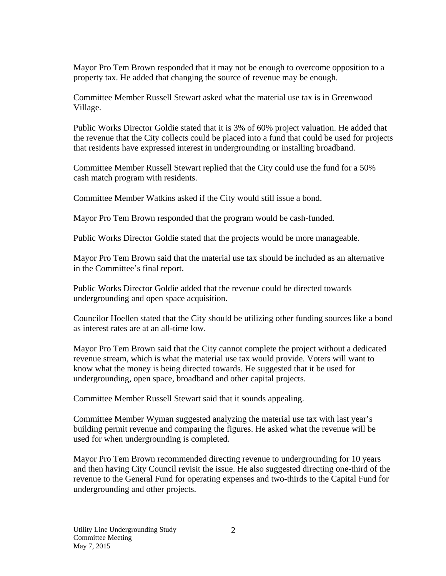Mayor Pro Tem Brown responded that it may not be enough to overcome opposition to a property tax. He added that changing the source of revenue may be enough.

Committee Member Russell Stewart asked what the material use tax is in Greenwood Village.

Public Works Director Goldie stated that it is 3% of 60% project valuation. He added that the revenue that the City collects could be placed into a fund that could be used for projects that residents have expressed interest in undergrounding or installing broadband.

Committee Member Russell Stewart replied that the City could use the fund for a 50% cash match program with residents.

Committee Member Watkins asked if the City would still issue a bond.

Mayor Pro Tem Brown responded that the program would be cash-funded.

Public Works Director Goldie stated that the projects would be more manageable.

Mayor Pro Tem Brown said that the material use tax should be included as an alternative in the Committee's final report.

Public Works Director Goldie added that the revenue could be directed towards undergrounding and open space acquisition.

Councilor Hoellen stated that the City should be utilizing other funding sources like a bond as interest rates are at an all-time low.

Mayor Pro Tem Brown said that the City cannot complete the project without a dedicated revenue stream, which is what the material use tax would provide. Voters will want to know what the money is being directed towards. He suggested that it be used for undergrounding, open space, broadband and other capital projects.

Committee Member Russell Stewart said that it sounds appealing.

Committee Member Wyman suggested analyzing the material use tax with last year's building permit revenue and comparing the figures. He asked what the revenue will be used for when undergrounding is completed.

Mayor Pro Tem Brown recommended directing revenue to undergrounding for 10 years and then having City Council revisit the issue. He also suggested directing one-third of the revenue to the General Fund for operating expenses and two-thirds to the Capital Fund for undergrounding and other projects.